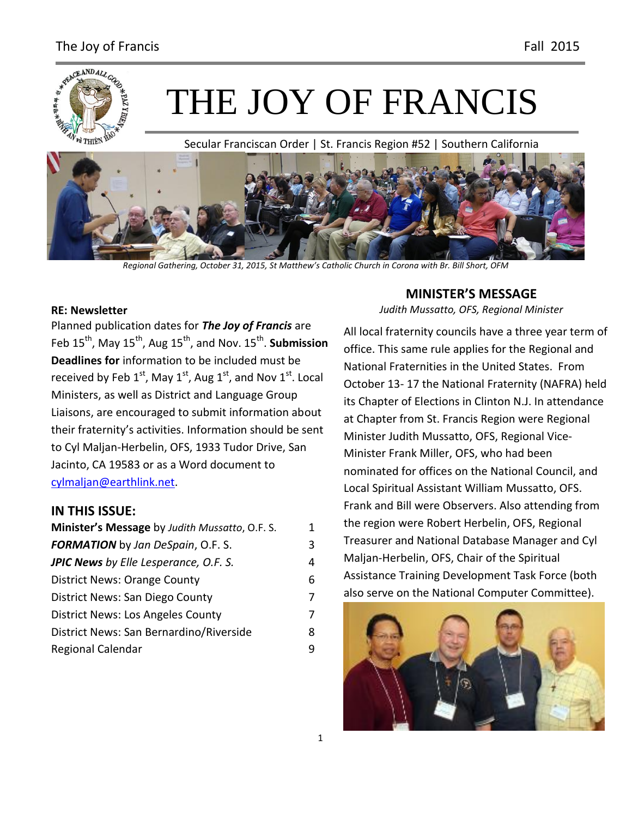

# THE JOY OF FRANCIS

Secular Franciscan Order | St. Francis Region #52 | Southern California



*Regional Gathering, October 31, 2015, St Matthew's Catholic Church in Corona with Br. Bill Short, OFM*

#### **RE: Newsletter**

Planned publication dates for *The Joy of Francis* are Feb 15<sup>th</sup>, May 15<sup>th</sup>, Aug 15<sup>th</sup>, and Nov. 15<sup>th</sup>. **Submission Deadlines for** information to be included must be received by Feb  $1^{st}$ , May  $1^{st}$ , Aug  $1^{st}$ , and Nov  $1^{st}$ . Local Ministers, as well as District and Language Group Liaisons, are encouraged to submit information about their fraternity's activities. Information should be sent to Cyl Maljan-Herbelin, OFS, 1933 Tudor Drive, San Jacinto, CA 19583 or as a Word document to [cylmaljan@earthlink.net.](mailto:cylmaljan@earthlink.net)

#### **IN THIS ISSUE:**

| Minister's Message by Judith Mussatto, O.F. S. | 1 |
|------------------------------------------------|---|
| <b>FORMATION</b> by Jan DeSpain, O.F. S.       | 3 |
| <b>JPIC News</b> by Elle Lesperance, O.F. S.   | 4 |
| <b>District News: Orange County</b>            | 6 |
| District News: San Diego County                | 7 |
| District News: Los Angeles County              | 7 |
| District News: San Bernardino/Riverside        | 8 |
| Regional Calendar                              | 9 |

#### **MINISTER'S MESSAGE** *Judith Mussatto, OFS, Regional Minister*

All local fraternity councils have a three year term of office. This same rule applies for the Regional and National Fraternities in the United States. From October 13- 17 the National Fraternity (NAFRA) held its Chapter of Elections in Clinton N.J. In attendance at Chapter from St. Francis Region were Regional Minister Judith Mussatto, OFS, Regional Vice-Minister Frank Miller, OFS, who had been nominated for offices on the National Council, and Local Spiritual Assistant William Mussatto, OFS. Frank and Bill were Observers. Also attending from the region were Robert Herbelin, OFS, Regional Treasurer and National Database Manager and Cyl Maljan-Herbelin, OFS, Chair of the Spiritual Assistance Training Development Task Force (both also serve on the National Computer Committee).

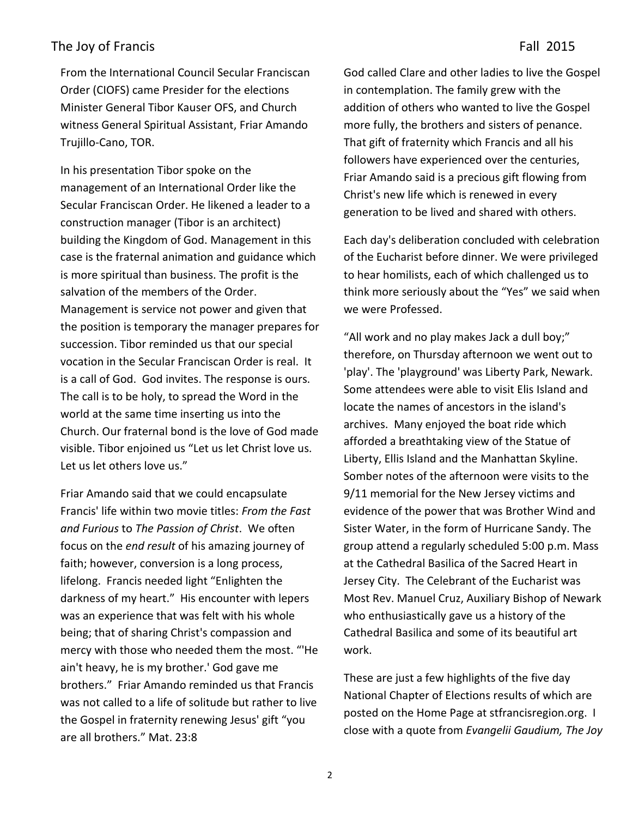From the International Council Secular Franciscan Order (CIOFS) came Presider for the elections Minister General Tibor Kauser OFS, and Church witness General Spiritual Assistant, Friar Amando Trujillo-Cano, TOR.

In his presentation Tibor spoke on the management of an International Order like the Secular Franciscan Order. He likened a leader to a construction manager (Tibor is an architect) building the Kingdom of God. Management in this case is the fraternal animation and guidance which is more spiritual than business. The profit is the salvation of the members of the Order. Management is service not power and given that the position is temporary the manager prepares for succession. Tibor reminded us that our special vocation in the Secular Franciscan Order is real. It is a call of God. God invites. The response is ours. The call is to be holy, to spread the Word in the world at the same time inserting us into the Church. Our fraternal bond is the love of God made visible. Tibor enjoined us "Let us let Christ love us. Let us let others love us."

Friar Amando said that we could encapsulate Francis' life within two movie titles: *From the Fast and Furious* to *The Passion of Christ*. We often focus on the *end result* of his amazing journey of faith; however, conversion is a long process, lifelong. Francis needed light "Enlighten the darkness of my heart." His encounter with lepers was an experience that was felt with his whole being; that of sharing Christ's compassion and mercy with those who needed them the most. "'He ain't heavy, he is my brother.' God gave me brothers." Friar Amando reminded us that Francis was not called to a life of solitude but rather to live the Gospel in fraternity renewing Jesus' gift "you are all brothers." Mat. 23:8

God called Clare and other ladies to live the Gospel in contemplation. The family grew with the addition of others who wanted to live the Gospel more fully, the brothers and sisters of penance. That gift of fraternity which Francis and all his followers have experienced over the centuries, Friar Amando said is a precious gift flowing from Christ's new life which is renewed in every generation to be lived and shared with others.

Each day's deliberation concluded with celebration of the Eucharist before dinner. We were privileged to hear homilists, each of which challenged us to think more seriously about the "Yes" we said when we were Professed.

"All work and no play makes Jack a dull boy;" therefore, on Thursday afternoon we went out to 'play'. The 'playground' was Liberty Park, Newark. Some attendees were able to visit Elis Island and locate the names of ancestors in the island's archives. Many enjoyed the boat ride which afforded a breathtaking view of the Statue of Liberty, Ellis Island and the Manhattan Skyline. Somber notes of the afternoon were visits to the 9/11 memorial for the New Jersey victims and evidence of the power that was Brother Wind and Sister Water, in the form of Hurricane Sandy. The group attend a regularly scheduled 5:00 p.m. Mass at the Cathedral Basilica of the Sacred Heart in Jersey City. The Celebrant of the Eucharist was Most Rev. Manuel Cruz, Auxiliary Bishop of Newark who enthusiastically gave us a history of the Cathedral Basilica and some of its beautiful art work.

These are just a few highlights of the five day National Chapter of Elections results of which are posted on the Home Page at stfrancisregion.org. I close with a quote from *Evangelii Gaudium, The Joy*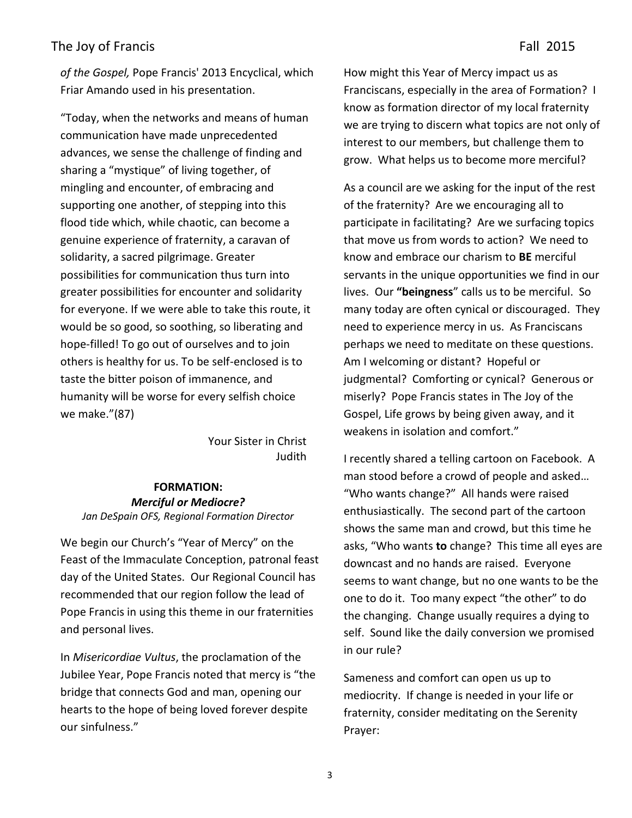*of the Gospel,* Pope Francis' 2013 Encyclical, which Friar Amando used in his presentation.

"Today, when the networks and means of human communication have made unprecedented advances, we sense the challenge of finding and sharing a "mystique" of living together, of mingling and encounter, of embracing and supporting one another, of stepping into this flood tide which, while chaotic, can become a genuine experience of fraternity, a caravan of solidarity, a sacred pilgrimage. Greater possibilities for communication thus turn into greater possibilities for encounter and solidarity for everyone. If we were able to take this route, it would be so good, so soothing, so liberating and hope-filled! To go out of ourselves and to join others is healthy for us. To be self-enclosed is to taste the bitter poison of immanence, and humanity will be worse for every selfish choice we make."(87)

> Your Sister in Christ Judith

#### **FORMATION:** *Merciful or Mediocre? Jan DeSpain OFS, Regional Formation Director*

We begin our Church's "Year of Mercy" on the Feast of the Immaculate Conception, patronal feast day of the United States. Our Regional Council has recommended that our region follow the lead of Pope Francis in using this theme in our fraternities and personal lives.

In *Misericordiae Vultus*, the proclamation of the Jubilee Year, Pope Francis noted that mercy is "the bridge that connects God and man, opening our hearts to the hope of being loved forever despite our sinfulness."

How might this Year of Mercy impact us as Franciscans, especially in the area of Formation? I know as formation director of my local fraternity we are trying to discern what topics are not only of interest to our members, but challenge them to grow. What helps us to become more merciful?

As a council are we asking for the input of the rest of the fraternity? Are we encouraging all to participate in facilitating? Are we surfacing topics that move us from words to action? We need to know and embrace our charism to **BE** merciful servants in the unique opportunities we find in our lives. Our **"beingness**" calls us to be merciful. So many today are often cynical or discouraged. They need to experience mercy in us. As Franciscans perhaps we need to meditate on these questions. Am I welcoming or distant? Hopeful or judgmental? Comforting or cynical? Generous or miserly? Pope Francis states in The Joy of the Gospel, Life grows by being given away, and it weakens in isolation and comfort."

I recently shared a telling cartoon on Facebook. A man stood before a crowd of people and asked… "Who wants change?" All hands were raised enthusiastically. The second part of the cartoon shows the same man and crowd, but this time he asks, "Who wants **to** change? This time all eyes are downcast and no hands are raised. Everyone seems to want change, but no one wants to be the one to do it. Too many expect "the other" to do the changing. Change usually requires a dying to self. Sound like the daily conversion we promised in our rule?

Sameness and comfort can open us up to mediocrity. If change is needed in your life or fraternity, consider meditating on the Serenity Prayer: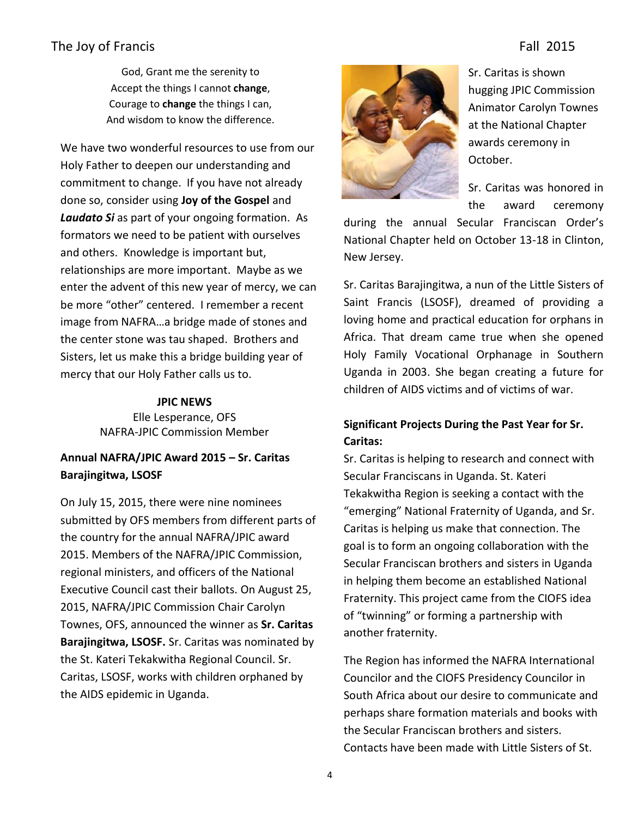God, Grant me the serenity to Accept the things I cannot **change**, Courage to **change** the things I can, And wisdom to know the difference.

We have two wonderful resources to use from our Holy Father to deepen our understanding and commitment to change. If you have not already done so, consider using **Joy of the Gospel** and *Laudato Si* as part of your ongoing formation. As formators we need to be patient with ourselves and others. Knowledge is important but, relationships are more important. Maybe as we enter the advent of this new year of mercy, we can be more "other" centered. I remember a recent image from NAFRA…a bridge made of stones and the center stone was tau shaped. Brothers and Sisters, let us make this a bridge building year of mercy that our Holy Father calls us to.

#### **JPIC NEWS**

Elle Lesperance, OFS NAFRA-JPIC Commission Member

#### **Annual NAFRA/JPIC Award 2015 – Sr. Caritas Barajingitwa, LSOSF**

On July 15, 2015, there were nine nominees submitted by OFS members from different parts of the country for the annual NAFRA/JPIC award 2015. Members of the NAFRA/JPIC Commission, regional ministers, and officers of the National Executive Council cast their ballots. On August 25, 2015, NAFRA/JPIC Commission Chair Carolyn Townes, OFS, announced the winner as **Sr. Caritas Barajingitwa, LSOSF.** Sr. Caritas was nominated by the St. Kateri Tekakwitha Regional Council. Sr. Caritas, LSOSF, works with children orphaned by the AIDS epidemic in Uganda.



Sr. Caritas is shown hugging JPIC Commission Animator Carolyn Townes at the National Chapter awards ceremony in October.

Sr. Caritas was honored in the award ceremony

during the annual Secular Franciscan Order's National Chapter held on October 13-18 in Clinton, New Jersey.

Sr. Caritas Barajingitwa, a nun of the Little Sisters of Saint Francis (LSOSF), dreamed of providing a loving home and practical education for orphans in Africa. That dream came true when she opened Holy Family Vocational Orphanage in Southern Uganda in 2003. She began creating a future for children of AIDS victims and of victims of war.

#### **Significant Projects During the Past Year for Sr. Caritas:**

Sr. Caritas is helping to research and connect with Secular Franciscans in Uganda. St. Kateri Tekakwitha Region is seeking a contact with the "emerging" National Fraternity of Uganda, and Sr. Caritas is helping us make that connection. The goal is to form an ongoing collaboration with the Secular Franciscan brothers and sisters in Uganda in helping them become an established National Fraternity. This project came from the CIOFS idea of "twinning" or forming a partnership with another fraternity.

The Region has informed the NAFRA International Councilor and the CIOFS Presidency Councilor in South Africa about our desire to communicate and perhaps share formation materials and books with the Secular Franciscan brothers and sisters. Contacts have been made with Little Sisters of St.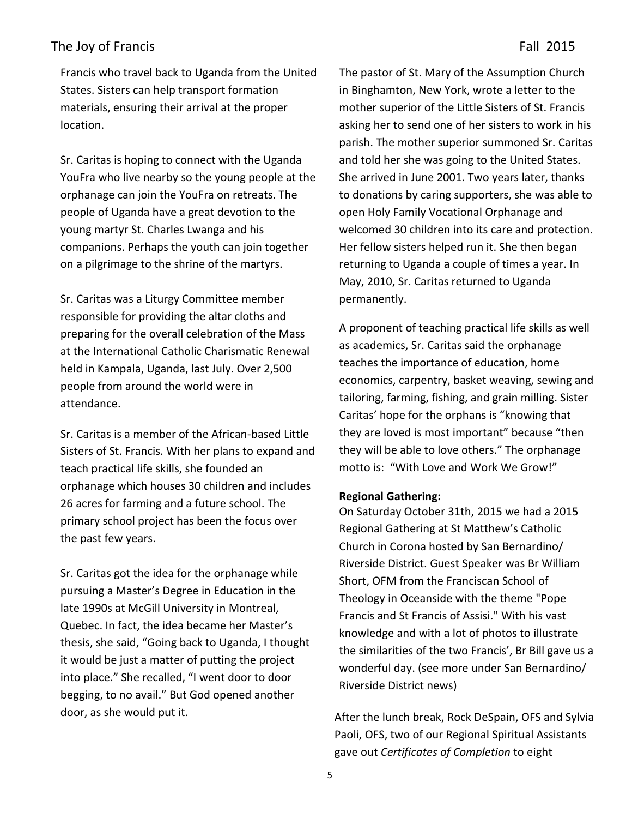Francis who travel back to Uganda from the United States. Sisters can help transport formation materials, ensuring their arrival at the proper location.

Sr. Caritas is hoping to connect with the Uganda YouFra who live nearby so the young people at the orphanage can join the YouFra on retreats. The people of Uganda have a great devotion to the young martyr St. Charles Lwanga and his companions. Perhaps the youth can join together on a pilgrimage to the shrine of the martyrs.

Sr. Caritas was a Liturgy Committee member responsible for providing the altar cloths and preparing for the overall celebration of the Mass at the International Catholic Charismatic Renewal held in Kampala, Uganda, last July. Over 2,500 people from around the world were in attendance.

Sr. Caritas is a member of the African-based Little Sisters of St. Francis. With her plans to expand and teach practical life skills, she founded an orphanage which houses 30 children and includes 26 acres for farming and a future school. The primary school project has been the focus over the past few years.

Sr. Caritas got the idea for the orphanage while pursuing a Master's Degree in Education in the late 1990s at McGill University in Montreal, Quebec. In fact, the idea became her Master's thesis, she said, "Going back to Uganda, I thought it would be just a matter of putting the project into place." She recalled, "I went door to door begging, to no avail." But God opened another door, as she would put it.

The pastor of St. Mary of the Assumption Church in Binghamton, New York, wrote a letter to the mother superior of the Little Sisters of St. Francis asking her to send one of her sisters to work in his parish. The mother superior summoned Sr. Caritas and told her she was going to the United States. She arrived in June 2001. Two years later, thanks to donations by caring supporters, she was able to open Holy Family Vocational Orphanage and welcomed 30 children into its care and protection. Her fellow sisters helped run it. She then began returning to Uganda a couple of times a year. In May, 2010, Sr. Caritas returned to Uganda permanently.

A proponent of teaching practical life skills as well as academics, Sr. Caritas said the orphanage teaches the importance of education, home economics, carpentry, basket weaving, sewing and tailoring, farming, fishing, and grain milling. Sister Caritas' hope for the orphans is "knowing that they are loved is most important" because "then they will be able to love others." The orphanage motto is: "With Love and Work We Grow!"

#### **Regional Gathering:**

On Saturday October 31th, 2015 we had a 2015 Regional Gathering at St Matthew's Catholic Church in Corona hosted by San Bernardino/ Riverside District. Guest Speaker was Br William Short, OFM from the Franciscan School of Theology in Oceanside with the theme "Pope Francis and St Francis of Assisi." With his vast knowledge and with a lot of photos to illustrate the similarities of the two Francis', Br Bill gave us a wonderful day. (see more under San Bernardino/ Riverside District news)

After the lunch break, Rock DeSpain, OFS and Sylvia Paoli, OFS, two of our Regional Spiritual Assistants gave out *Certificates of Completion* to eight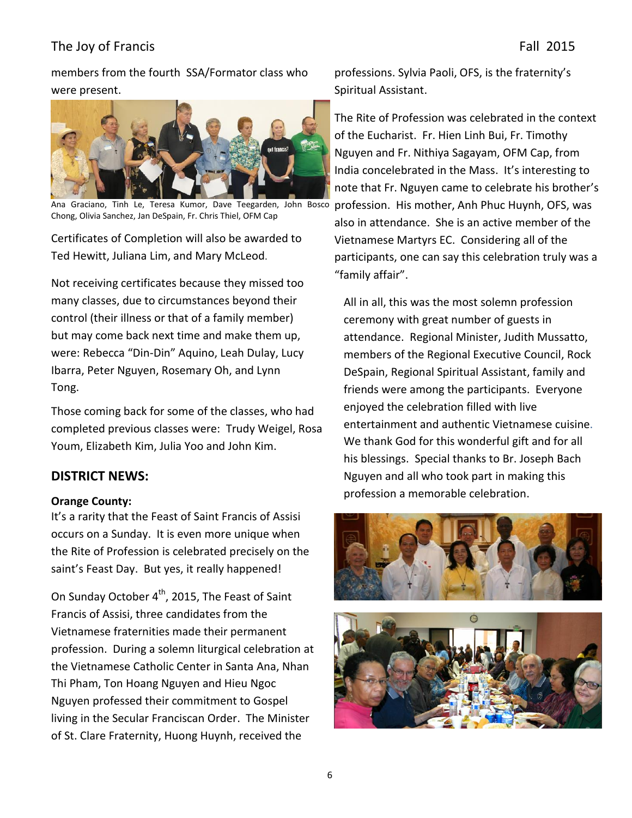members from the fourth SSA/Formator class who were present.



Ana Graciano, Tinh Le, Teresa Kumor, Dave Teegarden, John Bosco Chong, Olivia Sanchez, Jan DeSpain, Fr. Chris Thiel, OFM Cap

Certificates of Completion will also be awarded to Ted Hewitt, Juliana Lim, and Mary McLeod.

Not receiving certificates because they missed too many classes, due to circumstances beyond their control (their illness or that of a family member) but may come back next time and make them up, were: Rebecca "Din-Din" Aquino, Leah Dulay, Lucy Ibarra, Peter Nguyen, Rosemary Oh, and Lynn Tong.

Those coming back for some of the classes, who had completed previous classes were: Trudy Weigel, Rosa Youm, Elizabeth Kim, Julia Yoo and John Kim.

#### **DISTRICT NEWS:**

#### **Orange County:**

It's a rarity that the Feast of Saint Francis of Assisi occurs on a Sunday. It is even more unique when the Rite of Profession is celebrated precisely on the saint's Feast Day. But yes, it really happened!

On Sunday October  $4^{th}$ , 2015, The Feast of Saint Francis of Assisi, three candidates from the Vietnamese fraternities made their permanent profession. During a solemn liturgical celebration at the Vietnamese Catholic Center in Santa Ana, Nhan Thi Pham, Ton Hoang Nguyen and Hieu Ngoc Nguyen professed their commitment to Gospel living in the Secular Franciscan Order. The Minister of St. Clare Fraternity, Huong Huynh, received the

professions. Sylvia Paoli, OFS, is the fraternity's Spiritual Assistant.

The Rite of Profession was celebrated in the context of the Eucharist. Fr. Hien Linh Bui, Fr. Timothy Nguyen and Fr. Nithiya Sagayam, OFM Cap, from India concelebrated in the Mass. It's interesting to note that Fr. Nguyen came to celebrate his brother's profession. His mother, Anh Phuc Huynh, OFS, was also in attendance. She is an active member of the Vietnamese Martyrs EC. Considering all of the participants, one can say this celebration truly was a "family affair".

All in all, this was the most solemn profession ceremony with great number of guests in attendance. Regional Minister, Judith Mussatto, members of the Regional Executive Council, Rock DeSpain, Regional Spiritual Assistant, family and friends were among the participants. Everyone enjoyed the celebration filled with live entertainment and authentic Vietnamese cuisine. We thank God for this wonderful gift and for all his blessings. Special thanks to Br. Joseph Bach Nguyen and all who took part in making this profession a memorable celebration.



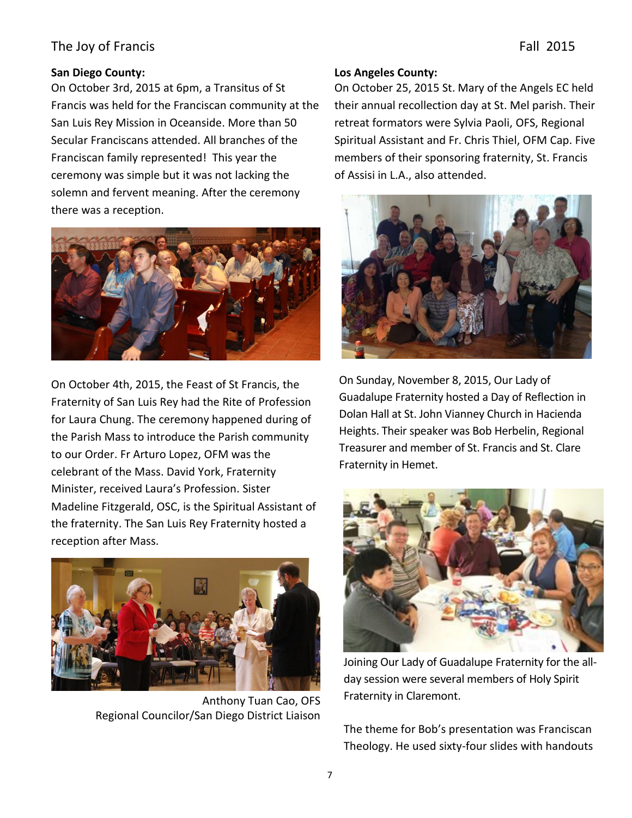#### **San Diego County:**

On October 3rd, 2015 at 6pm, a Transitus of St Francis was held for the Franciscan community at the San Luis Rey Mission in Oceanside. More than 50 Secular Franciscans attended. All branches of the Franciscan family represented! This year the ceremony was simple but it was not lacking the solemn and fervent meaning. After the ceremony there was a reception.



On October 4th, 2015, the Feast of St Francis, the Fraternity of San Luis Rey had the Rite of Profession for Laura Chung. The ceremony happened during of the Parish Mass to introduce the Parish community to our Order. Fr Arturo Lopez, OFM was the celebrant of the Mass. David York, Fraternity Minister, received Laura's Profession. Sister Madeline Fitzgerald, OSC, is the Spiritual Assistant of the fraternity. The San Luis Rey Fraternity hosted a reception after Mass.



Anthony Tuan Cao, OFS Regional Councilor/San Diego District Liaison

#### **Los Angeles County:**

On October 25, 2015 St. Mary of the Angels EC held their annual recollection day at St. Mel parish. Their retreat formators were Sylvia Paoli, OFS, Regional Spiritual Assistant and Fr. Chris Thiel, OFM Cap. Five members of their sponsoring fraternity, St. Francis of Assisi in L.A., also attended.



On Sunday, November 8, 2015, Our Lady of Guadalupe Fraternity hosted a Day of Reflection in Dolan Hall at St. John Vianney Church in Hacienda Heights. Their speaker was Bob Herbelin, Regional Treasurer and member of St. Francis and St. Clare Fraternity in Hemet.



Joining Our Lady of Guadalupe Fraternity for the allday session were several members of Holy Spirit Fraternity in Claremont.

The theme for Bob's presentation was Franciscan Theology. He used sixty-four slides with handouts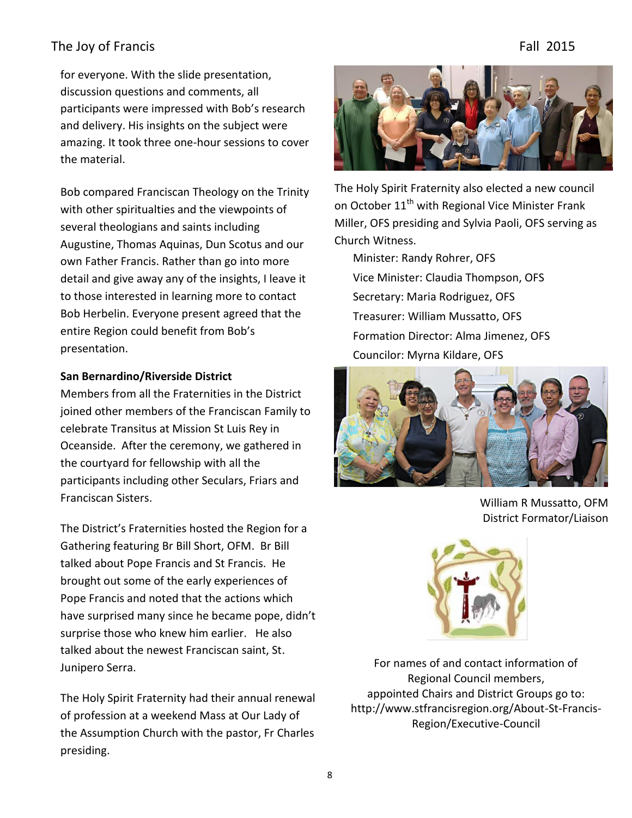for everyone. With the slide presentation, discussion questions and comments, all participants were impressed with Bob's research and delivery. His insights on the subject were amazing. It took three one-hour sessions to cover the material.

Bob compared Franciscan Theology on the Trinity with other spiritualties and the viewpoints of several theologians and saints including Augustine, Thomas Aquinas, Dun Scotus and our own Father Francis. Rather than go into more detail and give away any of the insights, I leave it to those interested in learning more to contact Bob Herbelin. Everyone present agreed that the entire Region could benefit from Bob's presentation.

#### **San Bernardino/Riverside District**

Members from all the Fraternities in the District joined other members of the Franciscan Family to celebrate Transitus at Mission St Luis Rey in Oceanside. After the ceremony, we gathered in the courtyard for fellowship with all the participants including other Seculars, Friars and Franciscan Sisters.

The District's Fraternities hosted the Region for a Gathering featuring Br Bill Short, OFM. Br Bill talked about Pope Francis and St Francis. He brought out some of the early experiences of Pope Francis and noted that the actions which have surprised many since he became pope, didn't surprise those who knew him earlier. He also talked about the newest Franciscan saint, St. Junipero Serra.

The Holy Spirit Fraternity had their annual renewal of profession at a weekend Mass at Our Lady of the Assumption Church with the pastor, Fr Charles presiding.



The Holy Spirit Fraternity also elected a new council on October 11<sup>th</sup> with Regional Vice Minister Frank Miller, OFS presiding and Sylvia Paoli, OFS serving as Church Witness.

Minister: Randy Rohrer, OFS Vice Minister: Claudia Thompson, OFS Secretary: Maria Rodriguez, OFS Treasurer: William Mussatto, OFS Formation Director: Alma Jimenez, OFS Councilor: Myrna Kildare, OFS



William R Mussatto, OFM District Formator/Liaison



For names of and contact information of Regional Council members, appointed Chairs and District Groups go to: http://www.stfrancisregion.org/About-St-Francis-Region/Executive-Council